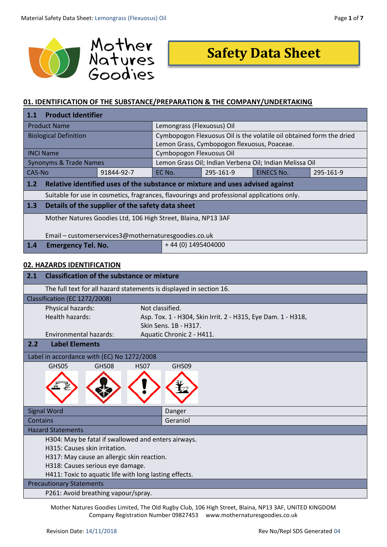

# **Safety Data Sheet**

# **01. IDENTIFICATION OF THE SUBSTANCE/PREPARATION & THE COMPANY/UNDERTAKING**

| <b>Product Identifier</b><br>1.1                              |                                                                                            |                                                         |            |           |
|---------------------------------------------------------------|--------------------------------------------------------------------------------------------|---------------------------------------------------------|------------|-----------|
| Lemongrass (Flexuosus) Oil<br><b>Product Name</b>             |                                                                                            |                                                         |            |           |
| <b>Biological Definition</b>                                  | Cymbopogon Flexuosus Oil is the volatile oil obtained form the dried                       |                                                         |            |           |
|                                                               | Lemon Grass, Cymbopogon flexuosus, Poaceae.                                                |                                                         |            |           |
| <b>INCI Name</b>                                              | Cymbopogon Flexuosus Oil                                                                   |                                                         |            |           |
| <b>Synonyms &amp; Trade Names</b>                             |                                                                                            | Lemon Grass Oil; Indian Verbena Oil; Indian Melissa Oil |            |           |
| CAS-No<br>91844-92-7                                          | EC No.                                                                                     | 295-161-9                                               | EINECS No. | 295-161-9 |
| 1.2                                                           | Relative identified uses of the substance or mixture and uses advised against              |                                                         |            |           |
|                                                               | Suitable for use in cosmetics, fragrances, flavourings and professional applications only. |                                                         |            |           |
| Details of the supplier of the safety data sheet<br>1.3       |                                                                                            |                                                         |            |           |
| Mother Natures Goodies Ltd, 106 High Street, Blaina, NP13 3AF |                                                                                            |                                                         |            |           |
|                                                               |                                                                                            |                                                         |            |           |
| Email - customerservices3@mothernaturesgoodies.co.uk          |                                                                                            |                                                         |            |           |
| 1.4<br><b>Emergency Tel. No.</b>                              | $+44(0)$ 1495404000                                                                        |                                                         |            |           |

### **02. HAZARDS IDENTIFICATION**

| 2.1                                                 | <b>Classification of the substance or mixture</b>                   |                                                              |  |
|-----------------------------------------------------|---------------------------------------------------------------------|--------------------------------------------------------------|--|
|                                                     | The full text for all hazard statements is displayed in section 16. |                                                              |  |
|                                                     | Classification (EC 1272/2008)                                       |                                                              |  |
|                                                     | Not classified.<br>Physical hazards:                                |                                                              |  |
|                                                     | <b>Health hazards:</b>                                              | Asp. Tox. 1 - H304, Skin Irrit. 2 - H315, Eye Dam. 1 - H318, |  |
|                                                     |                                                                     | Skin Sens. 1B - H317.                                        |  |
|                                                     | Environmental hazards:                                              | Aquatic Chronic 2 - H411.                                    |  |
| 2.2                                                 | <b>Label Elements</b>                                               |                                                              |  |
|                                                     | Label in accordance with (EC) No 1272/2008                          |                                                              |  |
|                                                     | GHS08<br>GHS05<br><b>HS07</b>                                       | GHS09                                                        |  |
|                                                     |                                                                     |                                                              |  |
|                                                     | <b>Signal Word</b>                                                  | Danger                                                       |  |
| <b>Contains</b>                                     |                                                                     | Geraniol                                                     |  |
| <b>Hazard Statements</b>                            |                                                                     |                                                              |  |
| H304: May be fatal if swallowed and enters airways. |                                                                     |                                                              |  |
|                                                     | H315: Causes skin irritation.                                       |                                                              |  |
|                                                     | H317: May cause an allergic skin reaction.                          |                                                              |  |
|                                                     | H318: Causes serious eye damage.                                    |                                                              |  |
|                                                     | H411: Toxic to aquatic life with long lasting effects.              |                                                              |  |
| <b>Precautionary Statements</b>                     |                                                                     |                                                              |  |
|                                                     | P261: Avoid breathing vapour/spray.                                 |                                                              |  |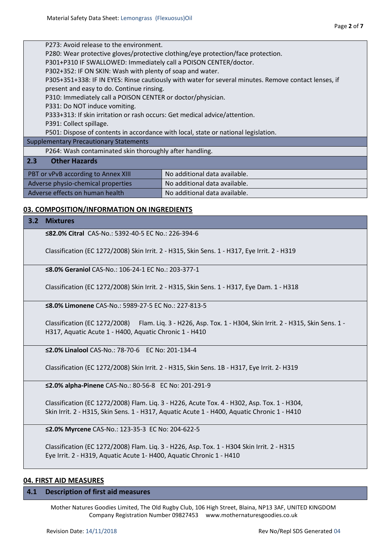| P273: Avoid release to the environment.                                            |                                                                                                      |  |  |
|------------------------------------------------------------------------------------|------------------------------------------------------------------------------------------------------|--|--|
|                                                                                    | P280: Wear protective gloves/protective clothing/eye protection/face protection.                     |  |  |
|                                                                                    | P301+P310 IF SWALLOWED: Immediately call a POISON CENTER/doctor.                                     |  |  |
| P302+352: IF ON SKIN: Wash with plenty of soap and water.                          |                                                                                                      |  |  |
|                                                                                    | P305+351+338: IF IN EYES: Rinse cautiously with water for several minutes. Remove contact lenses, if |  |  |
| present and easy to do. Continue rinsing.                                          |                                                                                                      |  |  |
| P310: Immediately call a POISON CENTER or doctor/physician.                        |                                                                                                      |  |  |
| P331: Do NOT induce vomiting.                                                      |                                                                                                      |  |  |
|                                                                                    | P333+313: If skin irritation or rash occurs: Get medical advice/attention.                           |  |  |
| P391: Collect spillage.                                                            |                                                                                                      |  |  |
| P501: Dispose of contents in accordance with local, state or national legislation. |                                                                                                      |  |  |
| <b>Supplementary Precautionary Statements</b>                                      |                                                                                                      |  |  |
| P264: Wash contaminated skin thoroughly after handling.                            |                                                                                                      |  |  |
| 2.3<br><b>Other Hazards</b>                                                        |                                                                                                      |  |  |
| No additional data available.<br>PBT or vPvB according to Annex XIII               |                                                                                                      |  |  |
| Adverse physio-chemical properties<br>No additional data available.                |                                                                                                      |  |  |
| Adverse effects on human health                                                    | No additional data available.                                                                        |  |  |
|                                                                                    |                                                                                                      |  |  |

## **03. COMPOSITION/INFORMATION ON INGREDIENTS**

#### **3.2 Mixtures**

**≤82.0% Citral** CAS-No.: 5392-40-5 EC No.: 226-394-6

Classification (EC 1272/2008) Skin Irrit. 2 - H315, Skin Sens. 1 - H317, Eye Irrit. 2 - H319

**≤8.0% Geraniol** CAS-No.: 106-24-1 EC No.: 203-377-1

Classification (EC 1272/2008) Skin Irrit. 2 - H315, Skin Sens. 1 - H317, Eye Dam. 1 - H318

**≤8.0% Limonene** CAS-No.: 5989-27-5 EC No.: 227-813-5

Classification (EC 1272/2008) Flam. Liq. 3 - H226, Asp. Tox. 1 - H304, Skin Irrit. 2 - H315, Skin Sens. 1 - H317, Aquatic Acute 1 - H400, Aquatic Chronic 1 - H410

**≤2.0% Linalool** CAS-No.: 78-70-6 EC No: 201-134-4

Classification (EC 1272/2008) Skin Irrit. 2 - H315, Skin Sens. 1B - H317, Eye Irrit. 2- H319

**≤2.0% alpha-Pinene** CAS-No.: 80-56-8 EC No: 201-291-9

Classification (EC 1272/2008) Flam. Liq. 3 - H226, Acute Tox. 4 - H302, Asp. Tox. 1 - H304, Skin Irrit. 2 - H315, Skin Sens. 1 - H317, Aquatic Acute 1 - H400, Aquatic Chronic 1 - H410

**≤2.0% Myrcene** CAS-No.: 123-35-3 EC No: 204-622-5

Classification (EC 1272/2008) Flam. Liq. 3 - H226, Asp. Tox. 1 - H304 Skin Irrit. 2 - H315 Eye Irrit. 2 - H319, Aquatic Acute 1- H400, Aquatic Chronic 1 - H410

#### **04. FIRST AID MEASURES**

#### **4.1 Description of first aid measures**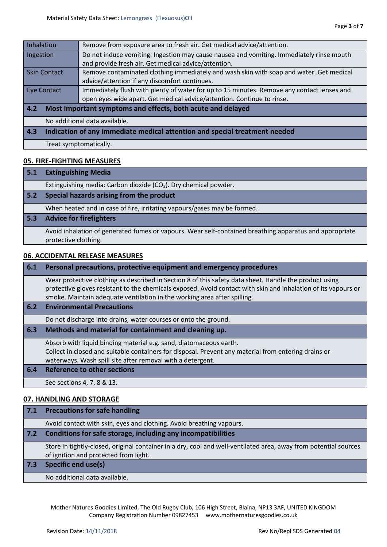| Inhalation                                                                                                | Remove from exposure area to fresh air. Get medical advice/attention.                    |  |  |
|-----------------------------------------------------------------------------------------------------------|------------------------------------------------------------------------------------------|--|--|
| Ingestion                                                                                                 | Do not induce vomiting. Ingestion may cause nausea and vomiting. Immediately rinse mouth |  |  |
|                                                                                                           | and provide fresh air. Get medical advice/attention.                                     |  |  |
| <b>Skin Contact</b>                                                                                       | Remove contaminated clothing immediately and wash skin with soap and water. Get medical  |  |  |
| advice/attention if any discomfort continues.                                                             |                                                                                          |  |  |
| Immediately flush with plenty of water for up to 15 minutes. Remove any contact lenses and<br>Eye Contact |                                                                                          |  |  |
| open eyes wide apart. Get medical advice/attention. Continue to rinse.                                    |                                                                                          |  |  |
| 4.2<br>Most important symptoms and effects, both acute and delayed                                        |                                                                                          |  |  |
|                                                                                                           | No additional data available.                                                            |  |  |
| 4.3                                                                                                       | Indication of any immediate medical attention and special treatment needed               |  |  |
|                                                                                                           | Treat symptomatically.                                                                   |  |  |

# **05. FIRE-FIGHTING MEASURES**

#### **5.1 Extinguishing Media**

Extinguishing media: Carbon dioxide (CO<sub>2</sub>). Dry chemical powder.

**5.2 Special hazards arising from the product**

When heated and in case of fire, irritating vapours/gases may be formed.

#### **5.3 Advice for firefighters**

Avoid inhalation of generated fumes or vapours. Wear self-contained breathing apparatus and appropriate protective clothing.

#### **06. ACCIDENTAL RELEASE MEASURES**

| 6.1 | Personal precautions, protective equipment and emergency procedures                                                                                                                                                                                                                                  |
|-----|------------------------------------------------------------------------------------------------------------------------------------------------------------------------------------------------------------------------------------------------------------------------------------------------------|
|     | Wear protective clothing as described in Section 8 of this safety data sheet. Handle the product using<br>protective gloves resistant to the chemicals exposed. Avoid contact with skin and inhalation of its vapours or<br>smoke. Maintain adequate ventilation in the working area after spilling. |
| 6.2 | <b>Environmental Precautions</b>                                                                                                                                                                                                                                                                     |
|     | Do not discharge into drains, water courses or onto the ground.                                                                                                                                                                                                                                      |
| 6.3 | Methods and material for containment and cleaning up.                                                                                                                                                                                                                                                |
|     | Absorb with liquid binding material e.g. sand, diatomaceous earth.<br>Collect in closed and suitable containers for disposal. Prevent any material from entering drains or<br>waterways. Wash spill site after removal with a detergent.                                                             |
| 6.4 | Reference to other sections                                                                                                                                                                                                                                                                          |
|     | See sections 4, 7, 8 & 13.                                                                                                                                                                                                                                                                           |
|     | 07. HANDLING AND STORAGE                                                                                                                                                                                                                                                                             |

# **7.1 Precautions for safe handling** Avoid contact with skin, eyes and clothing. Avoid breathing vapours. **7.2 Conditions for safe storage, including any incompatibilities**  Store in tightly-closed, original container in a dry, cool and well-ventilated area, away from potential sources of ignition and protected from light. **7.3 Specific end use(s)**

No additional data available.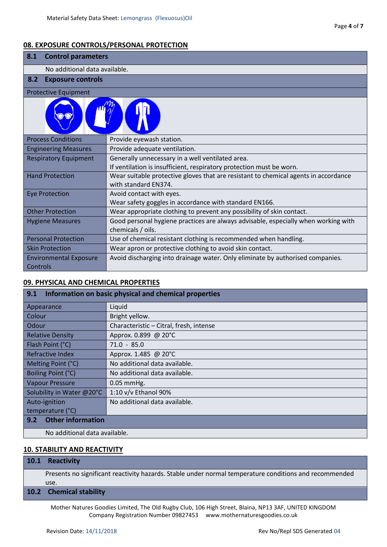# **08. EXPOSURE CONTROLS/PERSONAL PROTECTION**

| 8.1<br><b>Control parameters</b>                                                                              |                                                                                                         |  |  |
|---------------------------------------------------------------------------------------------------------------|---------------------------------------------------------------------------------------------------------|--|--|
|                                                                                                               | No additional data available.                                                                           |  |  |
| 8.2<br><b>Exposure controls</b>                                                                               |                                                                                                         |  |  |
| <b>Protective Equipment</b>                                                                                   |                                                                                                         |  |  |
|                                                                                                               |                                                                                                         |  |  |
| <b>Process Conditions</b>                                                                                     | Provide eyewash station.                                                                                |  |  |
| <b>Engineering Measures</b>                                                                                   | Provide adequate ventilation.                                                                           |  |  |
| Generally unnecessary in a well ventilated area.<br><b>Respiratory Equipment</b>                              |                                                                                                         |  |  |
|                                                                                                               | If ventilation is insufficient, respiratory protection must be worn.                                    |  |  |
| <b>Hand Protection</b><br>Wear suitable protective gloves that are resistant to chemical agents in accordance |                                                                                                         |  |  |
|                                                                                                               | with standard EN374.                                                                                    |  |  |
| <b>Eye Protection</b>                                                                                         | Avoid contact with eyes.                                                                                |  |  |
|                                                                                                               | Wear safety goggles in accordance with standard EN166.                                                  |  |  |
| <b>Other Protection</b>                                                                                       | Wear appropriate clothing to prevent any possibility of skin contact.                                   |  |  |
| <b>Hygiene Measures</b>                                                                                       | Good personal hygiene practices are always advisable, especially when working with<br>chemicals / oils. |  |  |
| <b>Personal Protection</b>                                                                                    | Use of chemical resistant clothing is recommended when handling.                                        |  |  |
| <b>Skin Protection</b>                                                                                        | Wear apron or protective clothing to avoid skin contact.                                                |  |  |
| <b>Environmental Exposure</b><br>Controls                                                                     | Avoid discharging into drainage water. Only eliminate by authorised companies.                          |  |  |

# **09. PHYSICAL AND CHEMICAL PROPERTIES**

| 9.1<br>Information on basic physical and chemical properties |                                         |  |
|--------------------------------------------------------------|-----------------------------------------|--|
| Appearance                                                   | Liquid                                  |  |
| Colour                                                       | Bright yellow.                          |  |
| Odour                                                        | Characteristic - Citral, fresh, intense |  |
| <b>Relative Density</b>                                      | Approx. 0.899 @ 20°C                    |  |
| Flash Point (°C)                                             | $71.0 - 85.0$                           |  |
| Refractive Index                                             | Approx. 1.485 @ 20°C                    |  |
| Melting Point (°C)                                           | No additional data available.           |  |
| Boiling Point (°C)<br>No additional data available.          |                                         |  |
| <b>Vapour Pressure</b><br>$0.05$ mmHg.                       |                                         |  |
| Solubility in Water @20°C                                    | 1:10 v/v Ethanol 90%                    |  |
| Auto-ignition                                                | No additional data available.           |  |
| temperature (°C)                                             |                                         |  |
| <b>Other information</b><br>9.2                              |                                         |  |
| No additional data available.                                |                                         |  |

# **10. STABILITY AND REACTIVITY**

| 10.1 | <b>Reactivity</b> |  |  |
|------|-------------------|--|--|
|------|-------------------|--|--|

Presents no significant reactivity hazards. Stable under normal temperature conditions and recommended use.

### **10.2 Chemical stability**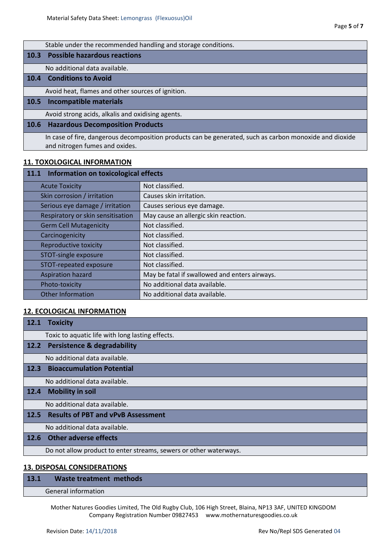|             | Stable under the recommended handling and storage conditions.                                                                             |
|-------------|-------------------------------------------------------------------------------------------------------------------------------------------|
| 10.3        | <b>Possible hazardous reactions</b>                                                                                                       |
|             | No additional data available.                                                                                                             |
| 10.4        | <b>Conditions to Avoid</b>                                                                                                                |
|             | Avoid heat, flames and other sources of ignition.                                                                                         |
| <b>10.5</b> | <b>Incompatible materials</b>                                                                                                             |
|             | Avoid strong acids, alkalis and oxidising agents.                                                                                         |
| <b>10.6</b> | <b>Hazardous Decomposition Products</b>                                                                                                   |
|             | In case of fire, dangerous decomposition products can be generated, such as carbon monoxide and dioxide<br>and nitrogen fumes and oxides. |

# **11. TOXOLOGICAL INFORMATION**

| Information on toxicological effects<br>11.1 |                                               |  |
|----------------------------------------------|-----------------------------------------------|--|
| <b>Acute Toxicity</b>                        | Not classified.                               |  |
| Skin corrosion / irritation                  | Causes skin irritation.                       |  |
| Serious eye damage / irritation              | Causes serious eye damage.                    |  |
| Respiratory or skin sensitisation            | May cause an allergic skin reaction.          |  |
| <b>Germ Cell Mutagenicity</b>                | Not classified.                               |  |
| Carcinogenicity                              | Not classified.                               |  |
| <b>Reproductive toxicity</b>                 | Not classified.                               |  |
| STOT-single exposure                         | Not classified.                               |  |
| STOT-repeated exposure                       | Not classified.                               |  |
| <b>Aspiration hazard</b>                     | May be fatal if swallowed and enters airways. |  |
| Photo-toxicity                               | No additional data available.                 |  |
| <b>Other Information</b>                     | No additional data available.                 |  |

# **12. ECOLOGICAL INFORMATION**

# **13. DISPOSAL CONSIDERATIONS**

# **13.1 Waste treatment methods**

# General information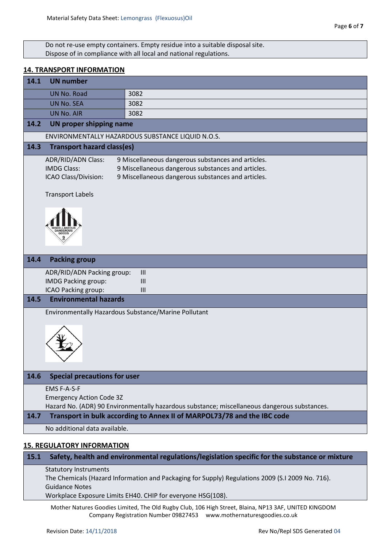Do not re-use empty containers. Empty residue into a suitable disposal site. Dispose of in compliance with all local and national regulations.

# **14. TRANSPORT INFORMATION**

| 14.1 | <b>UN number</b>                                                        |                                                                                                                                                                |
|------|-------------------------------------------------------------------------|----------------------------------------------------------------------------------------------------------------------------------------------------------------|
|      | <b>UN No. Road</b>                                                      | 3082                                                                                                                                                           |
|      | <b>UN No. SEA</b>                                                       | 3082                                                                                                                                                           |
|      | <b>UN No. AIR</b>                                                       | 3082                                                                                                                                                           |
| 14.2 | <b>UN proper shipping name</b>                                          |                                                                                                                                                                |
|      |                                                                         | ENVIRONMENTALLY HAZARDOUS SUBSTANCE LIQUID N.O.S.                                                                                                              |
| 14.3 | <b>Transport hazard class(es)</b>                                       |                                                                                                                                                                |
|      | <b>ADR/RID/ADN Class:</b><br><b>IMDG Class:</b><br>ICAO Class/Division: | 9 Miscellaneous dangerous substances and articles.<br>9 Miscellaneous dangerous substances and articles.<br>9 Miscellaneous dangerous substances and articles. |
|      | <b>Transport Labels</b>                                                 |                                                                                                                                                                |
|      |                                                                         |                                                                                                                                                                |
| 14.4 | <b>Packing group</b>                                                    |                                                                                                                                                                |
|      | ADR/RID/ADN Packing group:<br><b>IMDG Packing group:</b>                | III<br>III                                                                                                                                                     |
|      | ICAO Packing group:                                                     | III                                                                                                                                                            |
| 14.5 | <b>Environmental hazards</b>                                            |                                                                                                                                                                |
|      |                                                                         | Environmentally Hazardous Substance/Marine Pollutant                                                                                                           |
|      |                                                                         |                                                                                                                                                                |
| 14.6 | <b>Special precautions for user</b>                                     |                                                                                                                                                                |
|      | EMS F-A-S-F<br><b>Emergency Action Code 3Z</b>                          | Hazard No. (ADR) 90 Environmentally hazardous substance; miscellaneous dangerous substances.                                                                   |
| 14.7 |                                                                         | Transport in bulk according to Annex II of MARPOL73/78 and the IBC code                                                                                        |
|      | No additional data available.                                           |                                                                                                                                                                |
|      | <b>15. REGULATORY INFORMATION</b>                                       |                                                                                                                                                                |
| 15.1 |                                                                         | Safety, health and environmental regulations/legislation specific for the substance or mixture                                                                 |

#### Statutory Instruments

The Chemicals (Hazard Information and Packaging for Supply) Regulations 2009 (S.I 2009 No. 716). Guidance Notes

Workplace Exposure Limits EH40. CHIP for everyone HSG(108).